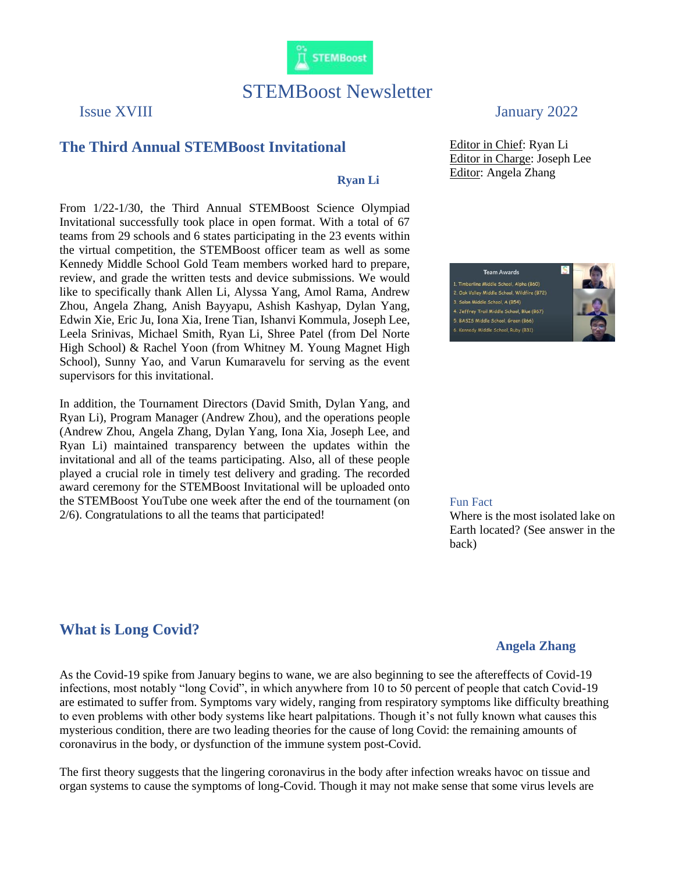

# STEMBoost Newsletter

### **The Third Annual STEMBoost Invitational**

### **Ryan Li**

From 1/22-1/30, the Third Annual STEMBoost Science Olympiad Invitational successfully took place in open format. With a total of 67 teams from 29 schools and 6 states participating in the 23 events within the virtual competition, the STEMBoost officer team as well as some Kennedy Middle School Gold Team members worked hard to prepare, review, and grade the written tests and device submissions. We would like to specifically thank Allen Li, Alyssa Yang, Amol Rama, Andrew Zhou, Angela Zhang, Anish Bayyapu, Ashish Kashyap, Dylan Yang, Edwin Xie, Eric Ju, Iona Xia, Irene Tian, Ishanvi Kommula, Joseph Lee, Leela Srinivas, Michael Smith, Ryan Li, Shree Patel (from Del Norte High School) & Rachel Yoon (from Whitney M. Young Magnet High School), Sunny Yao, and Varun Kumaravelu for serving as the event supervisors for this invitational.

In addition, the Tournament Directors (David Smith, Dylan Yang, and Ryan Li), Program Manager (Andrew Zhou), and the operations people (Andrew Zhou, Angela Zhang, Dylan Yang, Iona Xia, Joseph Lee, and Ryan Li) maintained transparency between the updates within the invitational and all of the teams participating. Also, all of these people played a crucial role in timely test delivery and grading. The recorded award ceremony for the STEMBoost Invitational will be uploaded onto the STEMBoost YouTube one week after the end of the tournament (on 2/6). Congratulations to all the teams that participated!

## Issue XVIII January 2022

Editor in Chief: Ryan Li Editor in Charge: Joseph Lee Editor: Angela Zhang

1. Timberline Middle School, Alpha (B60) 2. Oak Valley Middle School, Wildfire (B72) 3. Solon Middle School, A (B54) 4. Jeffrey Trail Middle School, Blue (B67) 5. BASIS Middle School, Green (B66) 6. Kennedy Middle School, Ruby (B31)

**Team Awards** 



#### Fun Fact

Where is the most isolated lake on Earth located? (See answer in the back)

# **What is Long Covid?**

### **Angela Zhang**

As the Covid-19 spike from January begins to wane, we are also beginning to see the aftereffects of Covid-19 infections, most notably "long Covid", in which anywhere from 10 to 50 percent of people that catch Covid-19 are estimated to suffer from. Symptoms vary widely, ranging from respiratory symptoms like difficulty breathing to even problems with other body systems like heart palpitations. Though it's not fully known what causes this mysterious condition, there are two leading theories for the cause of long Covid: the remaining amounts of coronavirus in the body, or dysfunction of the immune system post-Covid.

The first theory suggests that the lingering coronavirus in the body after infection wreaks havoc on tissue and organ systems to cause the symptoms of long-Covid. Though it may not make sense that some virus levels are